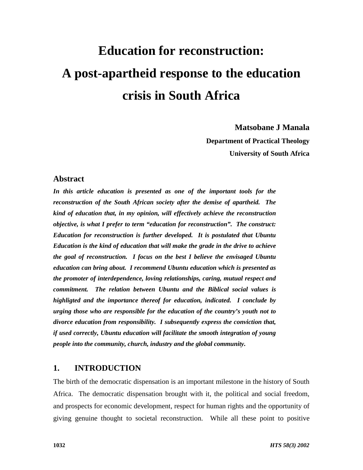# **Education for reconstruction: A post-apartheid response to the education crisis in South Africa**

**Matsobane J Manala Department of Practical Theology**

**University of South Africa**

# **Abstract**

*In this article education is presented as one of the important tools for the reconstruction of the South African society after the demise of apartheid. The kind of education that, in my opinion, will effectively achieve the reconstruction objective, is what I prefer to term "education for reconstruction". The construct: Education for reconstruction is further developed. It is postulated that Ubuntu Education is the kind of education that will make the grade in the drive to achieve the goal of reconstruction. I focus on the best I believe the envisaged Ubuntu education can bring about. I recommend Ubuntu education which is presented as the promoter of interdependence, loving relationships, caring, mutual respect and commitment. The relation between Ubuntu and the Biblical social values is highligted and the importance thereof for education, indicated. I conclude by urging those who are responsible for the education of the country's youth not to divorce education from responsibility. I subsequently express the conviction that, if used correctly, Ubuntu education will facilitate the smooth integration of young people into the community, church, industry and the global community.*

# **1. INTRODUCTION**

The birth of the democratic dispensation is an important milestone in the history of South Africa. The democratic dispensation brought with it, the political and social freedom, and prospects for economic development, respect for human rights and the opportunity of giving genuine thought to societal reconstruction. While all these point to positive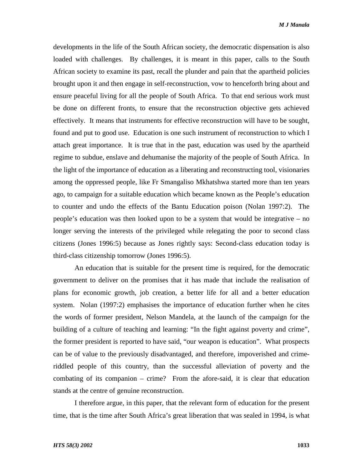developments in the life of the South African society, the democratic dispensation is also loaded with challenges. By challenges, it is meant in this paper, calls to the South African society to examine its past, recall the plunder and pain that the apartheid policies brought upon it and then engage in self-reconstruction, vow to henceforth bring about and ensure peaceful living for all the people of South Africa. To that end serious work must be done on different fronts, to ensure that the reconstruction objective gets achieved effectively. It means that instruments for effective reconstruction will have to be sought, found and put to good use. Education is one such instrument of reconstruction to which I attach great importance. It is true that in the past, education was used by the apartheid regime to subdue, enslave and dehumanise the majority of the people of South Africa. In the light of the importance of education as a liberating and reconstructing tool, visionaries among the oppressed people, like Fr Smangaliso Mkhatshwa started more than ten years ago, to campaign for a suitable education which became known as the People's education to counter and undo the effects of the Bantu Education poison (Nolan 1997:2). The people's education was then looked upon to be a system that would be integrative – no longer serving the interests of the privileged while relegating the poor to second class citizens (Jones 1996:5) because as Jones rightly says: Second-class education today is third-class citizenship tomorrow (Jones 1996:5).

An education that is suitable for the present time is required, for the democratic government to deliver on the promises that it has made that include the realisation of plans for economic growth, job creation, a better life for all and a better education system. Nolan (1997:2) emphasises the importance of education further when he cites the words of former president, Nelson Mandela, at the launch of the campaign for the building of a culture of teaching and learning: "In the fight against poverty and crime", the former president is reported to have said, "our weapon is education". What prospects can be of value to the previously disadvantaged, and therefore, impoverished and crimeriddled people of this country, than the successful alleviation of poverty and the combating of its companion – crime? From the afore-said, it is clear that education stands at the centre of genuine reconstruction.

I therefore argue, in this paper, that the relevant form of education for the present time, that is the time after South Africa's great liberation that was sealed in 1994, is what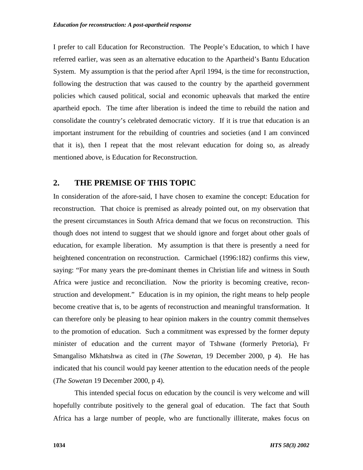I prefer to call Education for Reconstruction. The People's Education, to which I have referred earlier, was seen as an alternative education to the Apartheid's Bantu Education System. My assumption is that the period after April 1994, is the time for reconstruction, following the destruction that was caused to the country by the apartheid government policies which caused political, social and economic upheavals that marked the entire apartheid epoch. The time after liberation is indeed the time to rebuild the nation and consolidate the country's celebrated democratic victory. If it is true that education is an important instrument for the rebuilding of countries and societies (and I am convinced that it is), then I repeat that the most relevant education for doing so, as already mentioned above, is Education for Reconstruction.

# **2. THE PREMISE OF THIS TOPIC**

In consideration of the afore-said, I have chosen to examine the concept: Education for reconstruction. That choice is premised as already pointed out, on my observation that the present circumstances in South Africa demand that we focus on reconstruction. This though does not intend to suggest that we should ignore and forget about other goals of education, for example liberation. My assumption is that there is presently a need for heightened concentration on reconstruction. Carmichael (1996:182) confirms this view, saying: "For many years the pre-dominant themes in Christian life and witness in South Africa were justice and reconciliation. Now the priority is becoming creative, reconstruction and development." Education is in my opinion, the right means to help people become creative that is, to be agents of reconstruction and meaningful transformation. It can therefore only be pleasing to hear opinion makers in the country commit themselves to the promotion of education. Such a commitment was expressed by the former deputy minister of education and the current mayor of Tshwane (formerly Pretoria), Fr Smangaliso Mkhatshwa as cited in (*The Sowetan*, 19 December 2000, p 4). He has indicated that his council would pay keener attention to the education needs of the people (*The Sowetan* 19 December 2000, p 4).

This intended special focus on education by the council is very welcome and will hopefully contribute positively to the general goal of education. The fact that South Africa has a large number of people, who are functionally illiterate, makes focus on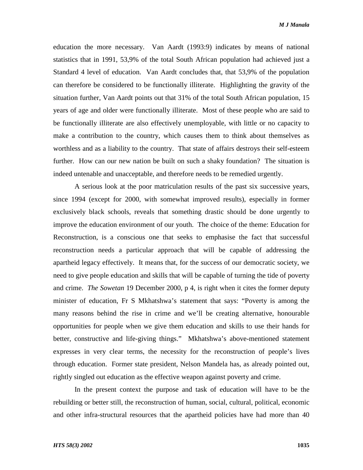education the more necessary. Van Aardt (1993:9) indicates by means of national statistics that in 1991, 53,9% of the total South African population had achieved just a Standard 4 level of education. Van Aardt concludes that, that 53,9% of the population can therefore be considered to be functionally illiterate. Highlighting the gravity of the situation further, Van Aardt points out that 31% of the total South African population, 15 years of age and older were functionally illiterate. Most of these people who are said to be functionally illiterate are also effectively unemployable, with little or no capacity to make a contribution to the country, which causes them to think about themselves as worthless and as a liability to the country. That state of affairs destroys their self-esteem further. How can our new nation be built on such a shaky foundation? The situation is indeed untenable and unacceptable, and therefore needs to be remedied urgently.

A serious look at the poor matriculation results of the past six successive years, since 1994 (except for 2000, with somewhat improved results), especially in former exclusively black schools, reveals that something drastic should be done urgently to improve the education environment of our youth. The choice of the theme: Education for Reconstruction, is a conscious one that seeks to emphasise the fact that successful reconstruction needs a particular approach that will be capable of addressing the apartheid legacy effectively. It means that, for the success of our democratic society, we need to give people education and skills that will be capable of turning the tide of poverty and crime. *The Sowetan* 19 December 2000, p 4, is right when it cites the former deputy minister of education, Fr S Mkhatshwa's statement that says: "Poverty is among the many reasons behind the rise in crime and we'll be creating alternative, honourable opportunities for people when we give them education and skills to use their hands for better, constructive and life-giving things." Mkhatshwa's above-mentioned statement expresses in very clear terms, the necessity for the reconstruction of people's lives through education. Former state president, Nelson Mandela has, as already pointed out, rightly singled out education as the effective weapon against poverty and crime.

In the present context the purpose and task of education will have to be the rebuilding or better still, the reconstruction of human, social, cultural, political, economic and other infra-structural resources that the apartheid policies have had more than 40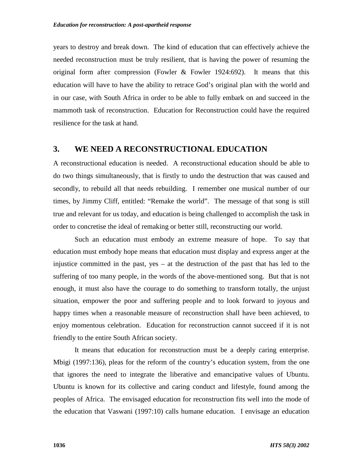years to destroy and break down. The kind of education that can effectively achieve the needed reconstruction must be truly resilient, that is having the power of resuming the original form after compression (Fowler  $\&$  Fowler 1924:692). It means that this education will have to have the ability to retrace God's original plan with the world and in our case, with South Africa in order to be able to fully embark on and succeed in the mammoth task of reconstruction. Education for Reconstruction could have the required resilience for the task at hand.

# **3. WE NEED A RECONSTRUCTIONAL EDUCATION**

A reconstructional education is needed. A reconstructional education should be able to do two things simultaneously, that is firstly to undo the destruction that was caused and secondly, to rebuild all that needs rebuilding. I remember one musical number of our times, by Jimmy Cliff, entitled: "Remake the world". The message of that song is still true and relevant for us today, and education is being challenged to accomplish the task in order to concretise the ideal of remaking or better still, reconstructing our world.

Such an education must embody an extreme measure of hope. To say that education must embody hope means that education must display and express anger at the injustice committed in the past, yes – at the destruction of the past that has led to the suffering of too many people, in the words of the above-mentioned song. But that is not enough, it must also have the courage to do something to transform totally, the unjust situation, empower the poor and suffering people and to look forward to joyous and happy times when a reasonable measure of reconstruction shall have been achieved, to enjoy momentous celebration. Education for reconstruction cannot succeed if it is not friendly to the entire South African society.

It means that education for reconstruction must be a deeply caring enterprise. Mbigi (1997:136), pleas for the reform of the country's education system, from the one that ignores the need to integrate the liberative and emancipative values of Ubuntu. Ubuntu is known for its collective and caring conduct and lifestyle, found among the peoples of Africa. The envisaged education for reconstruction fits well into the mode of the education that Vaswani (1997:10) calls humane education. I envisage an education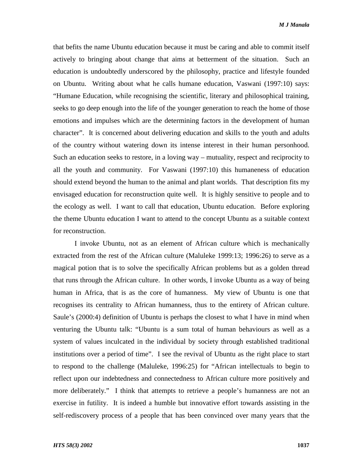that befits the name Ubuntu education because it must be caring and able to commit itself actively to bringing about change that aims at betterment of the situation. Such an education is undoubtedly underscored by the philosophy, practice and lifestyle founded on Ubuntu. Writing about what he calls humane education, Vaswani (1997:10) says: "Humane Education, while recognising the scientific, literary and philosophical training, seeks to go deep enough into the life of the younger generation to reach the home of those emotions and impulses which are the determining factors in the development of human character". It is concerned about delivering education and skills to the youth and adults of the country without watering down its intense interest in their human personhood. Such an education seeks to restore, in a loving way – mutuality, respect and reciprocity to all the youth and community. For Vaswani (1997:10) this humaneness of education should extend beyond the human to the animal and plant worlds. That description fits my envisaged education for reconstruction quite well. It is highly sensitive to people and to the ecology as well. I want to call that education, Ubuntu education. Before exploring the theme Ubuntu education I want to attend to the concept Ubuntu as a suitable context for reconstruction.

I invoke Ubuntu, not as an element of African culture which is mechanically extracted from the rest of the African culture (Maluleke 1999:13; 1996:26) to serve as a magical potion that is to solve the specifically African problems but as a golden thread that runs through the African culture. In other words, I invoke Ubuntu as a way of being human in Africa, that is as the core of humanness. My view of Ubuntu is one that recognises its centrality to African humanness, thus to the entirety of African culture. Saule's (2000:4) definition of Ubuntu is perhaps the closest to what I have in mind when venturing the Ubuntu talk: "Ubuntu is a sum total of human behaviours as well as a system of values inculcated in the individual by society through established traditional institutions over a period of time". I see the revival of Ubuntu as the right place to start to respond to the challenge (Maluleke, 1996:25) for "African intellectuals to begin to reflect upon our indebtedness and connectedness to African culture more positively and more deliberately." I think that attempts to retrieve a people's humanness are not an exercise in futility. It is indeed a humble but innovative effort towards assisting in the self-rediscovery process of a people that has been convinced over many years that the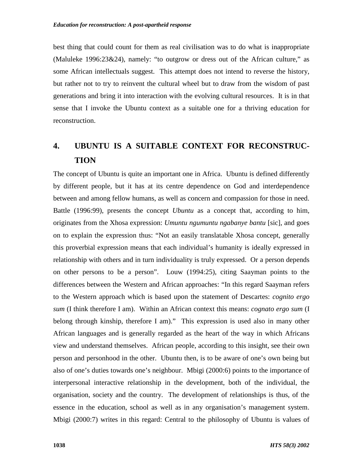best thing that could count for them as real civilisation was to do what is inappropriate (Maluleke 1996:23&24), namely: "to outgrow or dress out of the African culture," as some African intellectuals suggest. This attempt does not intend to reverse the history, but rather not to try to reinvent the cultural wheel but to draw from the wisdom of past generations and bring it into interaction with the evolving cultural resources. It is in that sense that I invoke the Ubuntu context as a suitable one for a thriving education for reconstruction.

# **4. UBUNTU IS A SUITABLE CONTEXT FOR RECONSTRUC-TION**

The concept of Ubuntu is quite an important one in Africa. Ubuntu is defined differently by different people, but it has at its centre dependence on God and interdependence between and among fellow humans, as well as concern and compassion for those in need. Battle (1996:99), presents the concept *Ubuntu* as a concept that, according to him, originates from the Xhosa expression: *Umuntu ngumuntu ngabanye bantu* [sic], and goes on to explain the expression thus: "Not an easily translatable Xhosa concept, generally this proverbial expression means that each individual's humanity is ideally expressed in relationship with others and in turn individuality is truly expressed. Or a person depends on other persons to be a person". Louw (1994:25), citing Saayman points to the differences between the Western and African approaches: "In this regard Saayman refers to the Western approach which is based upon the statement of Descartes: *cognito ergo sum* (I think therefore I am). Within an African context this means: *cognato ergo sum* (I belong through kinship, therefore I am)." This expression is used also in many other African languages and is generally regarded as the heart of the way in which Africans view and understand themselves. African people, according to this insight, see their own person and personhood in the other. Ubuntu then, is to be aware of one's own being but also of one's duties towards one's neighbour. Mbigi (2000:6) points to the importance of interpersonal interactive relationship in the development, both of the individual, the organisation, society and the country. The development of relationships is thus, of the essence in the education, school as well as in any organisation's management system. Mbigi (2000:7) writes in this regard: Central to the philosophy of Ubuntu is values of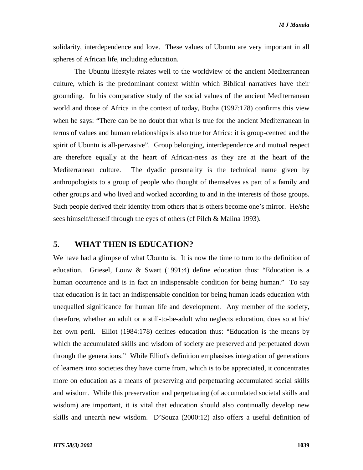*M J Manala*

solidarity, interdependence and love. These values of Ubuntu are very important in all spheres of African life, including education.

The Ubuntu lifestyle relates well to the worldview of the ancient Mediterranean culture, which is the predominant context within which Biblical narratives have their grounding. In his comparative study of the social values of the ancient Mediterranean world and those of Africa in the context of today, Botha (1997:178) confirms this view when he says: "There can be no doubt that what is true for the ancient Mediterranean in terms of values and human relationships is also true for Africa: it is group-centred and the spirit of Ubuntu is all-pervasive". Group belonging, interdependence and mutual respect are therefore equally at the heart of African-ness as they are at the heart of the Mediterranean culture. The dyadic personality is the technical name given by anthropologists to a group of people who thought of themselves as part of a family and other groups and who lived and worked according to and in the interests of those groups. Such people derived their identity from others that is others become one's mirror. He/she sees himself/herself through the eyes of others (cf Pilch & Malina 1993).

# **5. WHAT THEN IS EDUCATION?**

We have had a glimpse of what Ubuntu is. It is now the time to turn to the definition of education. Griesel, Louw & Swart (1991:4) define education thus: "Education is a human occurrence and is in fact an indispensable condition for being human." To say that education is in fact an indispensable condition for being human loads education with unequalled significance for human life and development. Any member of the society, therefore, whether an adult or a still-to-be-adult who neglects education, does so at his/ her own peril. Elliot (1984:178) defines education thus: "Education is the means by which the accumulated skills and wisdom of society are preserved and perpetuated down through the generations." While Elliot's definition emphasises integration of generations of learners into societies they have come from, which is to be appreciated, it concentrates more on education as a means of preserving and perpetuating accumulated social skills and wisdom. While this preservation and perpetuating (of accumulated societal skills and wisdom) are important, it is vital that education should also continually develop new skills and unearth new wisdom. D'Souza (2000:12) also offers a useful definition of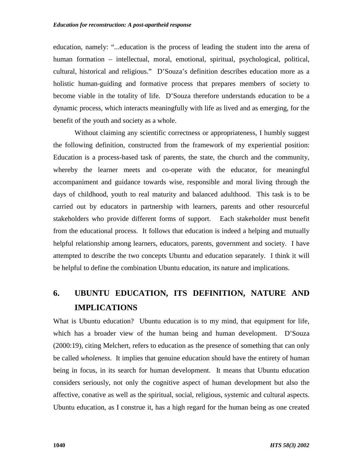education, namely: "...education is the process of leading the student into the arena of human formation – intellectual, moral, emotional, spiritual, psychological, political, cultural, historical and religious." D'Souza's definition describes education more as a holistic human-guiding and formative process that prepares members of society to become viable in the totality of life. D'Souza therefore understands education to be a dynamic process, which interacts meaningfully with life as lived and as emerging, for the benefit of the youth and society as a whole.

Without claiming any scientific correctness or appropriateness, I humbly suggest the following definition, constructed from the framework of my experiential position: Education is a process-based task of parents, the state, the church and the community, whereby the learner meets and co-operate with the educator, for meaningful accompaniment and guidance towards wise, responsible and moral living through the days of childhood, youth to real maturity and balanced adulthood. This task is to be carried out by educators in partnership with learners, parents and other resourceful stakeholders who provide different forms of support. Each stakeholder must benefit from the educational process. It follows that education is indeed a helping and mutually helpful relationship among learners, educators, parents, government and society. I have attempted to describe the two concepts Ubuntu and education separately. I think it will be helpful to define the combination Ubuntu education, its nature and implications.

# **6. UBUNTU EDUCATION, ITS DEFINITION, NATURE AND IMPLICATIONS**

What is Ubuntu education?Ubuntu education is to my mind, that equipment for life, which has a broader view of the human being and human development. D'Souza (2000:19), citing Melchert, refers to education as the presence of something that can only be called *wholeness*. It implies that genuine education should have the entirety of human being in focus, in its search for human development. It means that Ubuntu education considers seriously, not only the cognitive aspect of human development but also the affective, conative as well as the spiritual, social, religious, systemic and cultural aspects. Ubuntu education, as I construe it, has a high regard for the human being as one created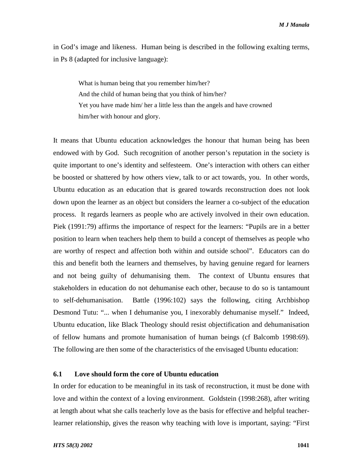in God's image and likeness. Human being is described in the following exalting terms, in Ps 8 (adapted for inclusive language):

What is human being that you remember him/her? And the child of human being that you think of him/her? Yet you have made him/ her a little less than the angels and have crowned him/her with honour and glory.

It means that Ubuntu education acknowledges the honour that human being has been endowed with by God. Such recognition of another person's reputation in the society is quite important to one's identity and selfesteem. One's interaction with others can either be boosted or shattered by how others view, talk to or act towards, you. In other words, Ubuntu education as an education that is geared towards reconstruction does not look down upon the learner as an object but considers the learner a co-subject of the education process. It regards learners as people who are actively involved in their own education. Piek (1991:79) affirms the importance of respect for the learners: "Pupils are in a better position to learn when teachers help them to build a concept of themselves as people who are worthy of respect and affection both within and outside school". Educators can do this and benefit both the learners and themselves, by having genuine regard for learners and not being guilty of dehumanising them. The context of Ubuntu ensures that stakeholders in education do not dehumanise each other, because to do so is tantamount to self-dehumanisation. Battle (1996:102) says the following, citing Archbishop Desmond Tutu: "... when I dehumanise you, I inexorably dehumanise myself." Indeed, Ubuntu education, like Black Theology should resist objectification and dehumanisation of fellow humans and promote humanisation of human beings (cf Balcomb 1998:69). The following are then some of the characteristics of the envisaged Ubuntu education:

#### **6.1 Love should form the core of Ubuntu education**

In order for education to be meaningful in its task of reconstruction, it must be done with love and within the context of a loving environment. Goldstein (1998:268), after writing at length about what she calls teacherly love as the basis for effective and helpful teacherlearner relationship, gives the reason why teaching with love is important, saying: "First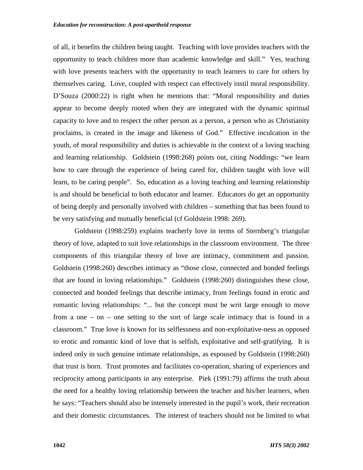of all, it benefits the children being taught. Teaching with love provides teachers with the opportunity to teach children more than academic knowledge and skill." Yes, teaching with love presents teachers with the opportunity to teach learners to care for others by themselves caring. Love, coupled with respect can effectively instil moral responsibility. D'Souza (2000:22) is right when he mentions that: "Moral responsibility and duties appear to become deeply rooted when they are integrated with the dynamic spiritual capacity to love and to respect the other person as a person, a person who as Christianity proclaims, is created in the image and likeness of God." Effective inculcation in the youth, of moral responsibility and duties is achievable in the context of a loving teaching and learning relationship. Goldstein (1998:268) points out, citing Noddings: "we learn how to care through the experience of being cared for, children taught with love will learn, to be caring people". So, education as a loving teaching and learning relationship is and should be beneficial to both educator and learner. Educators do get an opportunity of being deeply and personally involved with children – something that has been found to be very satisfying and mutually beneficial (cf Goldstein 1998: 269).

Goldstein (1998:259) explains teacherly love in terms of Sternberg's triangular theory of love, adapted to suit love relationships in the classroom environment. The three components of this triangular theory of love are intimacy, commitment and passion. Goldstein (1998:260) describes intimacy as "those close, connected and bonded feelings that are found in loving relationships." Goldstein (1998:260) distinguishes these close, connected and bonded feelings that describe intimacy, from feelings found in erotic and romantic loving relationships: "... but the concept must be writ large enough to move from a one – on – one setting to the sort of large scale intimacy that is found in a classroom." True love is known for its selflessness and non-exploitative-ness as opposed to erotic and romantic kind of love that is selfish, exploitative and self-gratifying. It is indeed only in such genuine intimate relationships, as espoused by Goldstein (1998:260) that trust is born. Trust promotes and facilitates co-operation, sharing of experiences and reciprocity among participants in any enterprise. Piek (1991:79) affirms the truth about the need for a healthy loving relationship between the teacher and his/her learners, when he says: "Teachers should also be intensely interested in the pupil's work, their recreation and their domestic circumstances. The interest of teachers should not be limited to what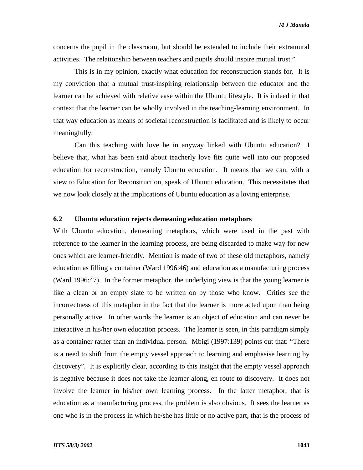concerns the pupil in the classroom, but should be extended to include their extramural activities. The relationship between teachers and pupils should inspire mutual trust."

This is in my opinion, exactly what education for reconstruction stands for. It is my conviction that a mutual trust-inspiring relationship between the educator and the learner can be achieved with relative ease within the Ubuntu lifestyle. It is indeed in that context that the learner can be wholly involved in the teaching-learning environment. In that way education as means of societal reconstruction is facilitated and is likely to occur meaningfully.

Can this teaching with love be in anyway linked with Ubuntu education? I believe that, what has been said about teacherly love fits quite well into our proposed education for reconstruction, namely Ubuntu education. It means that we can, with a view to Education for Reconstruction, speak of Ubuntu education. This necessitates that we now look closely at the implications of Ubuntu education as a loving enterprise.

## **6.2 Ubuntu education rejects demeaning education metaphors**

With Ubuntu education, demeaning metaphors, which were used in the past with reference to the learner in the learning process, are being discarded to make way for new ones which are learner-friendly. Mention is made of two of these old metaphors, namely education as filling a container (Ward 1996:46) and education as a manufacturing process (Ward 1996:47). In the former metaphor, the underlying view is that the young learner is like a clean or an empty slate to be written on by those who know. Critics see the incorrectness of this metaphor in the fact that the learner is more acted upon than being personally active. In other words the learner is an object of education and can never be interactive in his/her own education process. The learner is seen, in this paradigm simply as a container rather than an individual person. Mbigi (1997:139) points out that: "There is a need to shift from the empty vessel approach to learning and emphasise learning by discovery". It is explicitly clear, according to this insight that the empty vessel approach is negative because it does not take the learner along, en route to discovery. It does not involve the learner in his/her own learning process. In the latter metaphor, that is education as a manufacturing process, the problem is also obvious. It sees the learner as one who is in the process in which he/she has little or no active part, that is the process of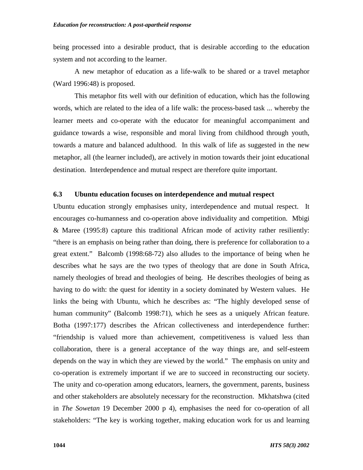being processed into a desirable product, that is desirable according to the education system and not according to the learner.

A new metaphor of education as a life-walk to be shared or a travel metaphor (Ward 1996:48) is proposed.

This metaphor fits well with our definition of education, which has the following words, which are related to the idea of a life walk: the process-based task ... whereby the learner meets and co-operate with the educator for meaningful accompaniment and guidance towards a wise, responsible and moral living from childhood through youth, towards a mature and balanced adulthood. In this walk of life as suggested in the new metaphor, all (the learner included), are actively in motion towards their joint educational destination. Interdependence and mutual respect are therefore quite important.

## **6.3 Ubuntu education focuses on interdependence and mutual respect**

Ubuntu education strongly emphasises unity, interdependence and mutual respect. It encourages co-humanness and co-operation above individuality and competition. Mbigi & Maree (1995:8) capture this traditional African mode of activity rather resiliently: "there is an emphasis on being rather than doing, there is preference for collaboration to a great extent." Balcomb (1998:68-72) also alludes to the importance of being when he describes what he says are the two types of theology that are done in South Africa, namely theologies of bread and theologies of being. He describes theologies of being as having to do with: the quest for identity in a society dominated by Western values. He links the being with Ubuntu, which he describes as: "The highly developed sense of human community" (Balcomb 1998:71), which he sees as a uniquely African feature. Botha (1997:177) describes the African collectiveness and interdependence further: "friendship is valued more than achievement, competitiveness is valued less than collaboration, there is a general acceptance of the way things are, and self-esteem depends on the way in which they are viewed by the world." The emphasis on unity and co-operation is extremely important if we are to succeed in reconstructing our society. The unity and co-operation among educators, learners, the government, parents, business and other stakeholders are absolutely necessary for the reconstruction. Mkhatshwa (cited in *The Sowetan* 19 December 2000 p 4), emphasises the need for co-operation of all stakeholders: "The key is working together, making education work for us and learning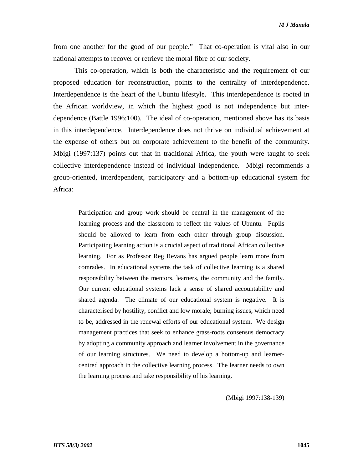*M J Manala*

from one another for the good of our people." That co-operation is vital also in our national attempts to recover or retrieve the moral fibre of our society.

This co-operation, which is both the characteristic and the requirement of our proposed education for reconstruction, points to the centrality of interdependence. Interdependence is the heart of the Ubuntu lifestyle. This interdependence is rooted in the African worldview, in which the highest good is not independence but interdependence (Battle 1996:100). The ideal of co-operation, mentioned above has its basis in this interdependence. Interdependence does not thrive on individual achievement at the expense of others but on corporate achievement to the benefit of the community. Mbigi (1997:137) points out that in traditional Africa, the youth were taught to seek collective interdependence instead of individual independence. Mbigi recommends a group-oriented, interdependent, participatory and a bottom-up educational system for Africa:

Participation and group work should be central in the management of the learning process and the classroom to reflect the values of Ubuntu. Pupils should be allowed to learn from each other through group discussion. Participating learning action is a crucial aspect of traditional African collective learning. For as Professor Reg Revans has argued people learn more from comrades. In educational systems the task of collective learning is a shared responsibility between the mentors, learners, the community and the family. Our current educational systems lack a sense of shared accountability and shared agenda. The climate of our educational system is negative. It is characterised by hostility, conflict and low morale; burning issues, which need to be, addressed in the renewal efforts of our educational system. We design management practices that seek to enhance grass-roots consensus democracy by adopting a community approach and learner involvement in the governance of our learning structures. We need to develop a bottom-up and learnercentred approach in the collective learning process. The learner needs to own the learning process and take responsibility of his learning.

(Mbigi 1997:138-139)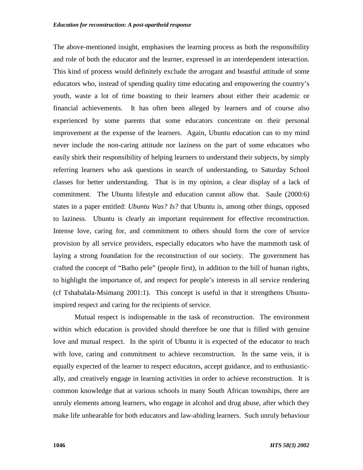The above-mentioned insight, emphasises the learning process as both the responsibility and role of both the educator and the learner, expressed in an interdependent interaction. This kind of process would definitely exclude the arrogant and boastful attitude of some educators who, instead of spending quality time educating and empowering the country's youth, waste a lot of time boasting to their learners about either their academic or financial achievements. It has often been alleged by learners and of course also experienced by some parents that some educators concentrate on their personal improvement at the expense of the learners. Again, Ubuntu education can to my mind never include the non-caring attitude nor laziness on the part of some educators who easily shirk their responsibility of helping learners to understand their subjects, by simply referring learners who ask questions in search of understanding, to Saturday School classes for better understanding. That is in my opinion, a clear display of a lack of commitment. The Ubuntu lifestyle and education cannot allow that. Saule (2000:6) states in a paper entitled: *Ubuntu Was? Is?* that Ubuntu is, among other things, opposed to laziness. Ubuntu is clearly an important requirement for effective reconstruction. Intense love, caring for, and commitment to others should form the core of service provision by all service providers, especially educators who have the mammoth task of laying a strong foundation for the reconstruction of our society. The government has crafted the concept of "Batho pele" (people first), in addition to the bill of human rights, to highlight the importance of, and respect for people's interests in all service rendering (cf Tshabalala-Msimang 2001:1). This concept is useful in that it strengthens Ubuntuinspired respect and caring for the recipients of service.

Mutual respect is indispensable in the task of reconstruction. The environment within which education is provided should therefore be one that is filled with genuine love and mutual respect. In the spirit of Ubuntu it is expected of the educator to teach with love, caring and commitment to achieve reconstruction. In the same vein, it is equally expected of the learner to respect educators, accept guidance, and to enthusiastically, and creatively engage in learning activities in order to achieve reconstruction. It is common knowledge that at various schools in many South African townships, there are unruly elements among learners, who engage in alcohol and drug abuse, after which they make life unbearable for both educators and law-abiding learners. Such unruly behaviour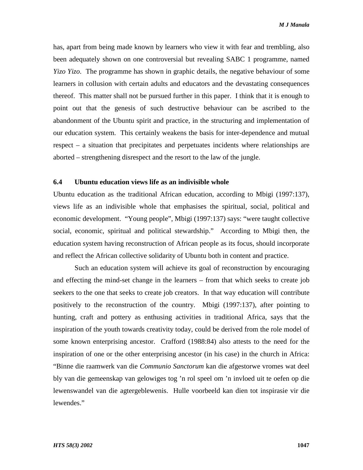has, apart from being made known by learners who view it with fear and trembling, also been adequately shown on one controversial but revealing SABC 1 programme, named *Yizo Yizo*. The programme has shown in graphic details, the negative behaviour of some learners in collusion with certain adults and educators and the devastating consequences thereof. This matter shall not be pursued further in this paper. I think that it is enough to point out that the genesis of such destructive behaviour can be ascribed to the abandonment of the Ubuntu spirit and practice, in the structuring and implementation of our education system. This certainly weakens the basis for inter-dependence and mutual respect – a situation that precipitates and perpetuates incidents where relationships are aborted – strengthening disrespect and the resort to the law of the jungle.

#### **6.4 Ubuntu education views life as an indivisible whole**

Ubuntu education as the traditional African education, according to Mbigi (1997:137), views life as an indivisible whole that emphasises the spiritual, social, political and economic development. "Young people", Mbigi (1997:137) says: "were taught collective social, economic, spiritual and political stewardship." According to Mbigi then, the education system having reconstruction of African people as its focus, should incorporate and reflect the African collective solidarity of Ubuntu both in content and practice.

Such an education system will achieve its goal of reconstruction by encouraging and effecting the mind-set change in the learners – from that which seeks to create job seekers to the one that seeks to create job creators. In that way education will contribute positively to the reconstruction of the country. Mbigi (1997:137), after pointing to hunting, craft and pottery as enthusing activities in traditional Africa, says that the inspiration of the youth towards creativity today, could be derived from the role model of some known enterprising ancestor. Crafford (1988:84) also attests to the need for the inspiration of one or the other enterprising ancestor (in his case) in the church in Africa: "Binne die raamwerk van die *Communio Sanctorum* kan die afgestorwe vromes wat deel bly van die gemeenskap van gelowiges tog 'n rol speel om 'n invloed uit te oefen op die lewenswandel van die agtergeblewenis. Hulle voorbeeld kan dien tot inspirasie vir die lewendes."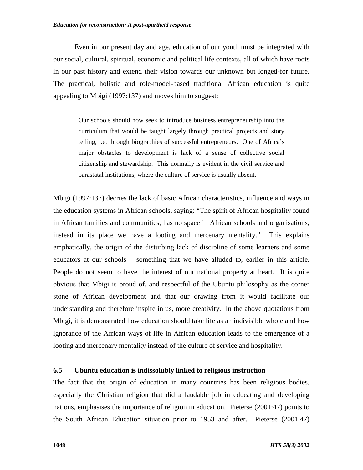#### *Education for reconstruction: A post-apartheid response*

Even in our present day and age, education of our youth must be integrated with our social, cultural, spiritual, economic and political life contexts, all of which have roots in our past history and extend their vision towards our unknown but longed-for future. The practical, holistic and role-model-based traditional African education is quite appealing to Mbigi (1997:137) and moves him to suggest:

Our schools should now seek to introduce business entrepreneurship into the curriculum that would be taught largely through practical projects and story telling, i.e. through biographies of successful entrepreneurs. One of Africa's major obstacles to development is lack of a sense of collective social citizenship and stewardship. This normally is evident in the civil service and parastatal institutions, where the culture of service is usually absent.

Mbigi (1997:137) decries the lack of basic African characteristics, influence and ways in the education systems in African schools, saying: "The spirit of African hospitality found in African families and communities, has no space in African schools and organisations, instead in its place we have a looting and mercenary mentality." This explains emphatically, the origin of the disturbing lack of discipline of some learners and some educators at our schools – something that we have alluded to, earlier in this article. People do not seem to have the interest of our national property at heart. It is quite obvious that Mbigi is proud of, and respectful of the Ubuntu philosophy as the corner stone of African development and that our drawing from it would facilitate our understanding and therefore inspire in us, more creativity. In the above quotations from Mbigi, it is demonstrated how education should take life as an indivisible whole and how ignorance of the African ways of life in African education leads to the emergence of a looting and mercenary mentality instead of the culture of service and hospitality.

## **6.5 Ubuntu education is indissolubly linked to religious instruction**

The fact that the origin of education in many countries has been religious bodies, especially the Christian religion that did a laudable job in educating and developing nations, emphasises the importance of religion in education. Pieterse (2001:47) points to the South African Education situation prior to 1953 and after. Pieterse (2001:47)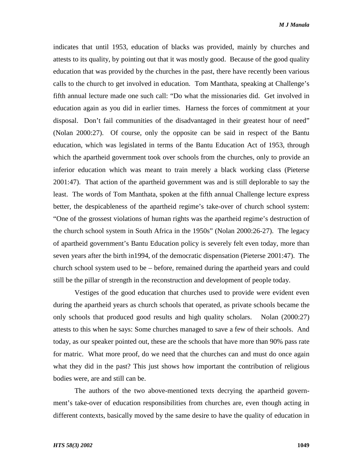indicates that until 1953, education of blacks was provided, mainly by churches and attests to its quality, by pointing out that it was mostly good. Because of the good quality education that was provided by the churches in the past, there have recently been various calls to the church to get involved in education. Tom Manthata, speaking at Challenge's fifth annual lecture made one such call: "Do what the missionaries did. Get involved in education again as you did in earlier times. Harness the forces of commitment at your disposal. Don't fail communities of the disadvantaged in their greatest hour of need" (Nolan 2000:27). Of course, only the opposite can be said in respect of the Bantu education, which was legislated in terms of the Bantu Education Act of 1953, through which the apartheid government took over schools from the churches, only to provide an inferior education which was meant to train merely a black working class (Pieterse 2001:47). That action of the apartheid government was and is still deplorable to say the least. The words of Tom Manthata, spoken at the fifth annual Challenge lecture express better, the despicableness of the apartheid regime's take-over of church school system: "One of the grossest violations of human rights was the apartheid regime's destruction of the church school system in South Africa in the 1950s" (Nolan 2000:26-27). The legacy of apartheid government's Bantu Education policy is severely felt even today, more than seven years after the birth in1994, of the democratic dispensation (Pieterse 2001:47). The church school system used to be – before, remained during the apartheid years and could still be the pillar of strength in the reconstruction and development of people today.

Vestiges of the good education that churches used to provide were evident even during the apartheid years as church schools that operated, as private schools became the only schools that produced good results and high quality scholars. Nolan (2000:27) attests to this when he says: Some churches managed to save a few of their schools. And today, as our speaker pointed out, these are the schools that have more than 90% pass rate for matric. What more proof, do we need that the churches can and must do once again what they did in the past? This just shows how important the contribution of religious bodies were, are and still can be.

The authors of the two above-mentioned texts decrying the apartheid government's take-over of education responsibilities from churches are, even though acting in different contexts, basically moved by the same desire to have the quality of education in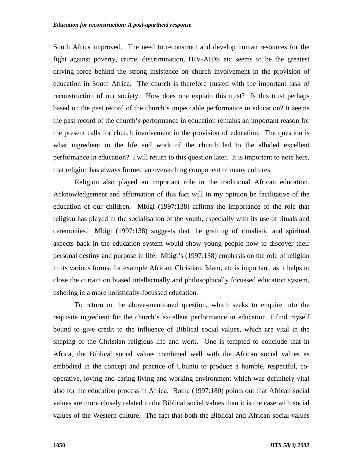South Africa improved. The need to reconstruct and develop human resources for the fight against poverty, crime, discrimination, HIV-AIDS etc seems to be the greatest driving force behind the strong insistence on church involvement in the provision of education in South Africa. The church is therefore trusted with the important task of reconstruction of our society. How does one explain this trust? Is this trust perhaps based on the past record of the church's impeccable performance in education? It seems the past record of the church's performance in education remains an important reason for the present calls for church involvement in the provision of education. The question is what ingredient in the life and work of the church led to the alluded excellent performance in education? I will return to this question later. It is important to note here, that religion has always formed an overarching component of many cultures.

Religion also played an important role in the traditional African education. Acknowledgement and affirmation of this fact will in my opinion be facilitative of the education of our children. Mbigi (1997:138) affirms the importance of the role that religion has played in the socialisation of the youth, especially with its use of rituals and ceremonies. Mbigi (1997:138) suggests that the grafting of ritualistic and spiritual aspects back in the education system would show young people how to discover their personal destiny and purpose in life. Mbigi's (1997:138) emphasis on the role of religion in its various forms, for example African, Christian, Islam, etc is important, as it helps to close the curtain on biased intellectually and philosophically focussed education system, ushering in a more holistically-focussed education.

To return to the above-mentioned question, which seeks to enquire into the requisite ingredient for the church's excellent performance in education, I find myself bound to give credit to the influence of Biblical social values, which are vital in the shaping of the Christian religious life and work. One is tempted to conclude that in Africa, the Biblical social values combined well with the African social values as embodied in the concept and practice of Ubuntu to produce a humble, respectful, cooperative, loving and caring living and working environment which was definitely vital also for the education process in Africa. Botha (1997:180) points out that African social values are more closely related to the Biblical social values than it is the case with social values of the Western culture. The fact that both the Biblical and African social values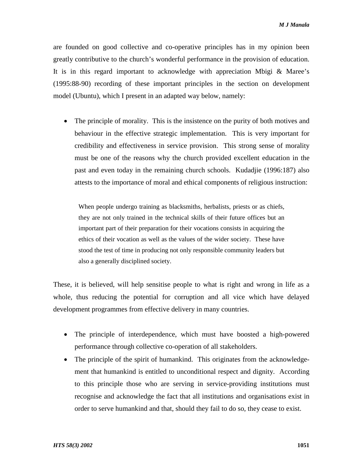are founded on good collective and co-operative principles has in my opinion been greatly contributive to the church's wonderful performance in the provision of education. It is in this regard important to acknowledge with appreciation Mbigi & Maree's (1995:88-90) recording of these important principles in the section on development model (Ubuntu), which I present in an adapted way below, namely:

• The principle of morality. This is the insistence on the purity of both motives and behaviour in the effective strategic implementation. This is very important for credibility and effectiveness in service provision. This strong sense of morality must be one of the reasons why the church provided excellent education in the past and even today in the remaining church schools. Kudadjie (1996:187) also attests to the importance of moral and ethical components of religious instruction:

When people undergo training as blacksmiths, herbalists, priests or as chiefs, they are not only trained in the technical skills of their future offices but an important part of their preparation for their vocations consists in acquiring the ethics of their vocation as well as the values of the wider society. These have stood the test of time in producing not only responsible community leaders but also a generally disciplined society.

These, it is believed, will help sensitise people to what is right and wrong in life as a whole, thus reducing the potential for corruption and all vice which have delayed development programmes from effective delivery in many countries.

- The principle of interdependence, which must have boosted a high-powered performance through collective co-operation of all stakeholders.
- The principle of the spirit of humankind. This originates from the acknowledgement that humankind is entitled to unconditional respect and dignity. According to this principle those who are serving in service-providing institutions must recognise and acknowledge the fact that all institutions and organisations exist in order to serve humankind and that, should they fail to do so, they cease to exist.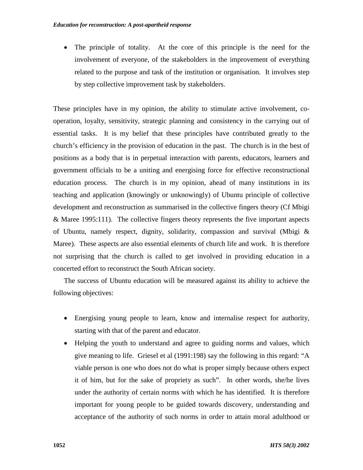• The principle of totality. At the core of this principle is the need for the involvement of everyone, of the stakeholders in the improvement of everything related to the purpose and task of the institution or organisation. It involves step by step collective improvement task by stakeholders.

These principles have in my opinion, the ability to stimulate active involvement, cooperation, loyalty, sensitivity, strategic planning and consistency in the carrying out of essential tasks. It is my belief that these principles have contributed greatly to the church's efficiency in the provision of education in the past. The church is in the best of positions as a body that is in perpetual interaction with parents, educators, learners and government officials to be a uniting and energising force for effective reconstructional education process. The church is in my opinion, ahead of many institutions in its teaching and application (knowingly or unknowingly) of Ubuntu principle of collective development and reconstruction as summarised in the collective fingers theory (Cf Mbigi  $&$  Maree 1995:111). The collective fingers theory represents the five important aspects of Ubuntu, namely respect, dignity, solidarity, compassion and survival (Mbigi & Maree). These aspects are also essential elements of church life and work. It is therefore not surprising that the church is called to get involved in providing education in a concerted effort to reconstruct the South African society.

The success of Ubuntu education will be measured against its ability to achieve the following objectives:

- Energising young people to learn, know and internalise respect for authority, starting with that of the parent and educator.
- Helping the youth to understand and agree to guiding norms and values, which give meaning to life. Griesel et al (1991:198) say the following in this regard: "A viable person is one who does not do what is proper simply because others expect it of him, but for the sake of propriety as such". In other words, she/he lives under the authority of certain norms with which he has identified. It is therefore important for young people to be guided towards discovery, understanding and acceptance of the authority of such norms in order to attain moral adulthood or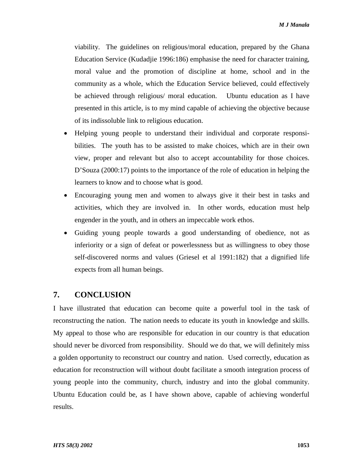viability. The guidelines on religious/moral education, prepared by the Ghana Education Service (Kudadjie 1996:186) emphasise the need for character training, moral value and the promotion of discipline at home, school and in the community as a whole, which the Education Service believed, could effectively be achieved through religious/ moral education. Ubuntu education as I have presented in this article, is to my mind capable of achieving the objective because of its indissoluble link to religious education.

- Helping young people to understand their individual and corporate responsibilities. The youth has to be assisted to make choices, which are in their own view, proper and relevant but also to accept accountability for those choices. D'Souza (2000:17) points to the importance of the role of education in helping the learners to know and to choose what is good.
- Encouraging young men and women to always give it their best in tasks and activities, which they are involved in. In other words, education must help engender in the youth, and in others an impeccable work ethos.
- Guiding young people towards a good understanding of obedience, not as inferiority or a sign of defeat or powerlessness but as willingness to obey those self-discovered norms and values (Griesel et al 1991:182) that a dignified life expects from all human beings.

# **7. CONCLUSION**

I have illustrated that education can become quite a powerful tool in the task of reconstructing the nation. The nation needs to educate its youth in knowledge and skills. My appeal to those who are responsible for education in our country is that education should never be divorced from responsibility. Should we do that, we will definitely miss a golden opportunity to reconstruct our country and nation. Used correctly, education as education for reconstruction will without doubt facilitate a smooth integration process of young people into the community, church, industry and into the global community. Ubuntu Education could be, as I have shown above, capable of achieving wonderful results.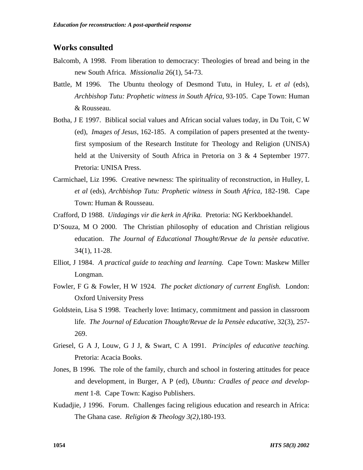# **Works consulted**

- Balcomb, A 1998. From liberation to democracy: Theologies of bread and being in the new South Africa. *Missionalia* 26(1), 54-73.
- Battle, M 1996. The Ubuntu theology of Desmond Tutu, in Huley, L *et al* (eds), *Archbishop Tutu: Prophetic witness in South Africa,* 93-105.Cape Town: Human & Rousseau.
- Botha, J E 1997. Biblical social values and African social values today, in Du Toit, C W (ed), *Images of Jesus*, 162-185. A compilation of papers presented at the twentyfirst symposium of the Research Institute for Theology and Religion (UNISA) held at the University of South Africa in Pretoria on 3 & 4 September 1977. Pretoria: UNISA Press.
- Carmichael, Liz 1996. Creative newness: The spirituality of reconstruction, in Hulley, L *et al* (eds), *Archbishop Tutu: Prophetic witness in South Africa,* 182-198. Cape Town: Human & Rousseau.
- Crafford, D 1988. *Uitdagings vir die kerk in Afrika.* Pretoria: NG Kerkboekhandel.
- D'Souza, M O 2000. The Christian philosophy of education and Christian religious education. *The Journal of Educational Thought/Revue de la pensèe educative.*  34(1), 11-28.
- Elliot, J 1984. *A practical guide to teaching and learning.* Cape Town: Maskew Miller Longman.
- Fowler, F G & Fowler, H W 1924. *The pocket dictionary of current English.* London: Oxford University Press
- Goldstein, Lisa S 1998. Teacherly love: Intimacy, commitment and passion in classroom life. *The Journal of Education Thought/Revue de la Pensèe educative,* 32(3), 257- 269.
- Griesel, G A J, Louw, G J J, & Swart, C A 1991. *Principles of educative teaching.*  Pretoria: Acacia Books.
- Jones, B 1996. The role of the family, church and school in fostering attitudes for peace and development, in Burger, A P (ed), *Ubuntu: Cradles of peace and development* 1-8*.* Cape Town: Kagiso Publishers.
- Kudadjie, J 1996. Forum. Challenges facing religious education and research in Africa: The Ghana case. *Religion & Theology 3(2),*180-193.